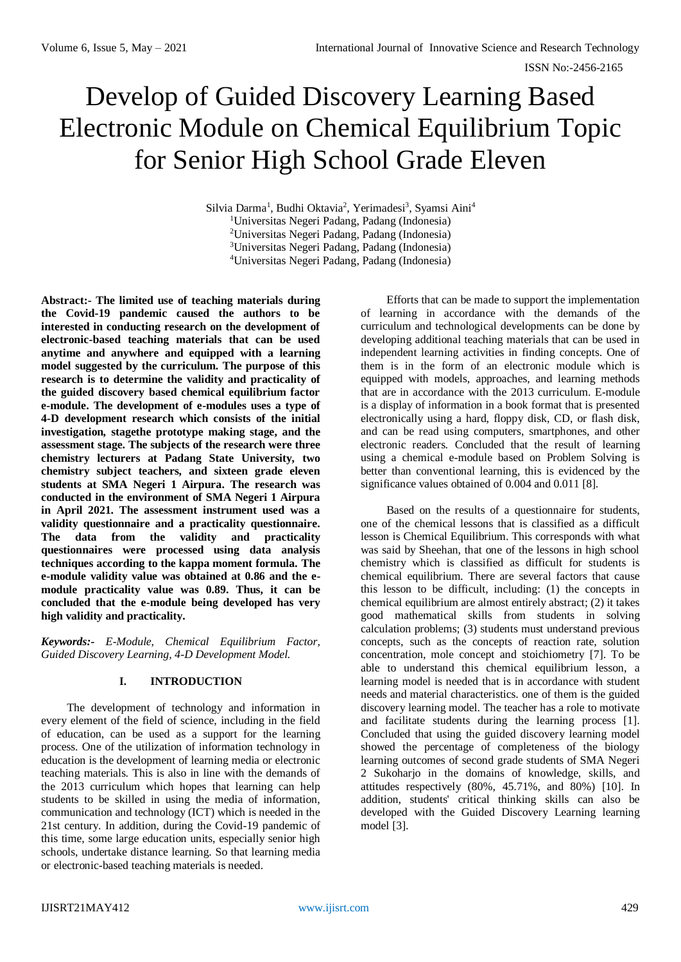ISSN No:-2456-2165

# Develop of Guided Discovery Learning Based Electronic Module on Chemical Equilibrium Topic for Senior High School Grade Eleven

Silvia Darma<sup>1</sup>, Budhi Oktavia<sup>2</sup>, Yerimadesi<sup>3</sup>, Syamsi Aini<sup>4</sup> Universitas Negeri Padang, Padang (Indonesia) Universitas Negeri Padang, Padang (Indonesia) Universitas Negeri Padang, Padang (Indonesia) Universitas Negeri Padang, Padang (Indonesia)

**Abstract:- The limited use of teaching materials during the Covid-19 pandemic caused the authors to be interested in conducting research on the development of electronic-based teaching materials that can be used anytime and anywhere and equipped with a learning model suggested by the curriculum. The purpose of this research is to determine the validity and practicality of the guided discovery based chemical equilibrium factor e-module. The development of e-modules uses a type of 4-D development research which consists of the initial investigation***,* **stagethe prototype making stage, and the assessment stage. The subjects of the research were three chemistry lecturers at Padang State University, two chemistry subject teachers, and sixteen grade eleven students at SMA Negeri 1 Airpura. The research was conducted in the environment of SMA Negeri 1 Airpura in April 2021. The assessment instrument used was a validity questionnaire and a practicality questionnaire. The data from the validity and practicality questionnaires were processed using data analysis techniques according to the kappa moment formula***.* **The e-module validity value was obtained at 0.86 and the emodule practicality value was 0.89. Thus, it can be concluded that the e-module being developed has very high validity and practicality.**

*Keywords:- E-Module, Chemical Equilibrium Factor, Guided Discovery Learning, 4-D Development Model.*

# **I. INTRODUCTION**

The development of technology and information in every element of the field of science, including in the field of education, can be used as a support for the learning process. One of the utilization of information technology in education is the development of learning media or electronic teaching materials. This is also in line with the demands of the 2013 curriculum which hopes that learning can help students to be skilled in using the media of information, communication and technology (ICT) which is needed in the 21st century. In addition, during the Covid-19 pandemic of this time, some large education units, especially senior high schools, undertake distance learning. So that learning media or electronic-based teaching materials is needed.

Efforts that can be made to support the implementation of learning in accordance with the demands of the curriculum and technological developments can be done by developing additional teaching materials that can be used in independent learning activities in finding concepts. One of them is in the form of an electronic module which is equipped with models, approaches, and learning methods that are in accordance with the 2013 curriculum. E-module is a display of information in a book format that is presented electronically using a hard, floppy disk, CD, or flash disk, and can be read using computers, smartphones, and other electronic readers. Concluded that the result of learning using a chemical e-module based on Problem Solving is better than conventional learning, this is evidenced by the significance values obtained of 0.004 and 0.011 [8].

Based on the results of a questionnaire for students, one of the chemical lessons that is classified as a difficult lesson is Chemical Equilibrium. This corresponds with what was said by Sheehan, that one of the lessons in high school chemistry which is classified as difficult for students is chemical equilibrium. There are several factors that cause this lesson to be difficult, including: (1) the concepts in chemical equilibrium are almost entirely abstract; (2) it takes good mathematical skills from students in solving calculation problems; (3) students must understand previous concepts, such as the concepts of reaction rate, solution concentration, mole concept and stoichiometry [7]. To be able to understand this chemical equilibrium lesson, a learning model is needed that is in accordance with student needs and material characteristics. one of them is the guided discovery learning model. The teacher has a role to motivate and facilitate students during the learning process [1]. Concluded that using the guided discovery learning model showed the percentage of completeness of the biology learning outcomes of second grade students of SMA Negeri 2 Sukoharjo in the domains of knowledge, skills, and attitudes respectively (80%, 45.71%, and 80%) [10]. In addition, students' critical thinking skills can also be developed with the Guided Discovery Learning learning model [3].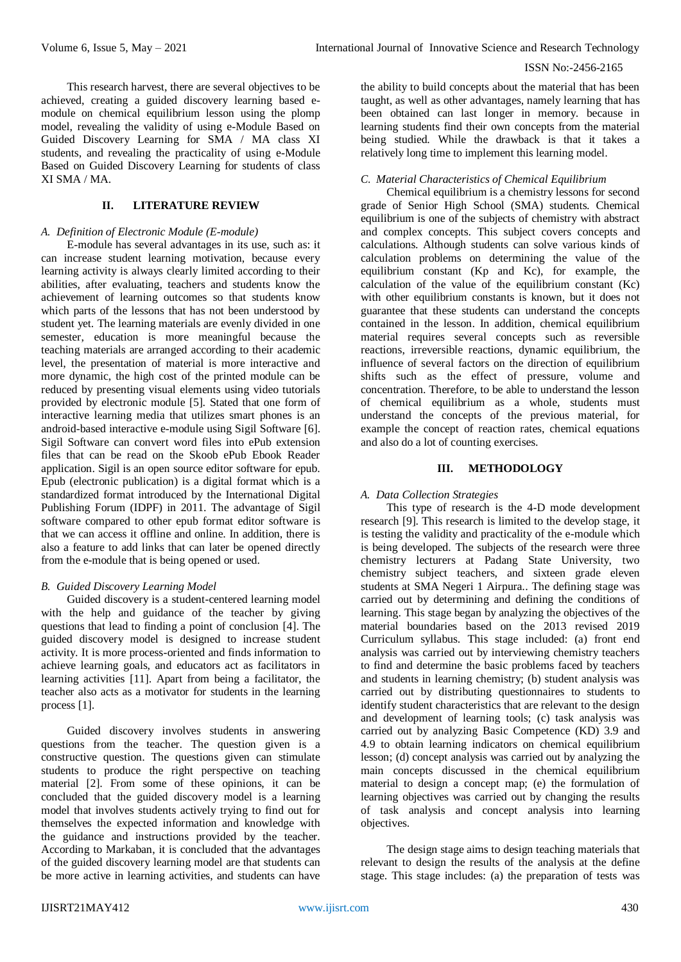This research harvest, there are several objectives to be achieved, creating a guided discovery learning based emodule on chemical equilibrium lesson using the plomp model, revealing the validity of using e-Module Based on Guided Discovery Learning for SMA / MA class XI students, and revealing the practicality of using e-Module Based on Guided Discovery Learning for students of class XI SMA / MA.

# **II. LITERATURE REVIEW**

#### *A. Definition of Electronic Module (E-module)*

E-module has several advantages in its use, such as: it can increase student learning motivation, because every learning activity is always clearly limited according to their abilities, after evaluating, teachers and students know the achievement of learning outcomes so that students know which parts of the lessons that has not been understood by student yet. The learning materials are evenly divided in one semester, education is more meaningful because the teaching materials are arranged according to their academic level, the presentation of material is more interactive and more dynamic, the high cost of the printed module can be reduced by presenting visual elements using video tutorials provided by electronic module [5]. Stated that one form of interactive learning media that utilizes smart phones is an android-based interactive e-module using Sigil Software [6]. Sigil Software can convert word files into ePub extension files that can be read on the Skoob ePub Ebook Reader application. Sigil is an open source editor software for epub. Epub (electronic publication) is a digital format which is a standardized format introduced by the International Digital Publishing Forum (IDPF) in 2011. The advantage of Sigil software compared to other epub format editor software is that we can access it offline and online. In addition, there is also a feature to add links that can later be opened directly from the e-module that is being opened or used.

#### *B. Guided Discovery Learning Model*

Guided discovery is a student-centered learning model with the help and guidance of the teacher by giving questions that lead to finding a point of conclusion [4]. The guided discovery model is designed to increase student activity. It is more process-oriented and finds information to achieve learning goals, and educators act as facilitators in learning activities [11]. Apart from being a facilitator, the teacher also acts as a motivator for students in the learning process [1].

Guided discovery involves students in answering questions from the teacher. The question given is a constructive question. The questions given can stimulate students to produce the right perspective on teaching material [2]. From some of these opinions, it can be concluded that the guided discovery model is a learning model that involves students actively trying to find out for themselves the expected information and knowledge with the guidance and instructions provided by the teacher. According to Markaban, it is concluded that the advantages of the guided discovery learning model are that students can be more active in learning activities, and students can have

the ability to build concepts about the material that has been taught, as well as other advantages, namely learning that has been obtained can last longer in memory. because in learning students find their own concepts from the material being studied. While the drawback is that it takes a relatively long time to implement this learning model.

## *C. Material Characteristics of Chemical Equilibrium*

Chemical equilibrium is a chemistry lessons for second grade of Senior High School (SMA) students. Chemical equilibrium is one of the subjects of chemistry with abstract and complex concepts. This subject covers concepts and calculations. Although students can solve various kinds of calculation problems on determining the value of the equilibrium constant (Kp and Kc), for example, the calculation of the value of the equilibrium constant (Kc) with other equilibrium constants is known, but it does not guarantee that these students can understand the concepts contained in the lesson. In addition, chemical equilibrium material requires several concepts such as reversible reactions, irreversible reactions, dynamic equilibrium, the influence of several factors on the direction of equilibrium shifts such as the effect of pressure, volume and concentration. Therefore, to be able to understand the lesson of chemical equilibrium as a whole, students must understand the concepts of the previous material, for example the concept of reaction rates, chemical equations and also do a lot of counting exercises.

#### **III. METHODOLOGY**

## *A. Data Collection Strategies*

This type of research is the 4-D mode development research [9]. This research is limited to the develop stage, it is testing the validity and practicality of the e-module which is being developed. The subjects of the research were three chemistry lecturers at Padang State University, two chemistry subject teachers, and sixteen grade eleven students at SMA Negeri 1 Airpura.. The defining stage was carried out by determining and defining the conditions of learning. This stage began by analyzing the objectives of the material boundaries based on the 2013 revised 2019 Curriculum syllabus. This stage included: (a) front end analysis was carried out by interviewing chemistry teachers to find and determine the basic problems faced by teachers and students in learning chemistry; (b) student analysis was carried out by distributing questionnaires to students to identify student characteristics that are relevant to the design and development of learning tools; (c) task analysis was carried out by analyzing Basic Competence (KD) 3.9 and 4.9 to obtain learning indicators on chemical equilibrium lesson; (d) concept analysis was carried out by analyzing the main concepts discussed in the chemical equilibrium material to design a concept map; (e) the formulation of learning objectives was carried out by changing the results of task analysis and concept analysis into learning objectives.

The design stage aims to design teaching materials that relevant to design the results of the analysis at the define stage. This stage includes: (a) the preparation of tests was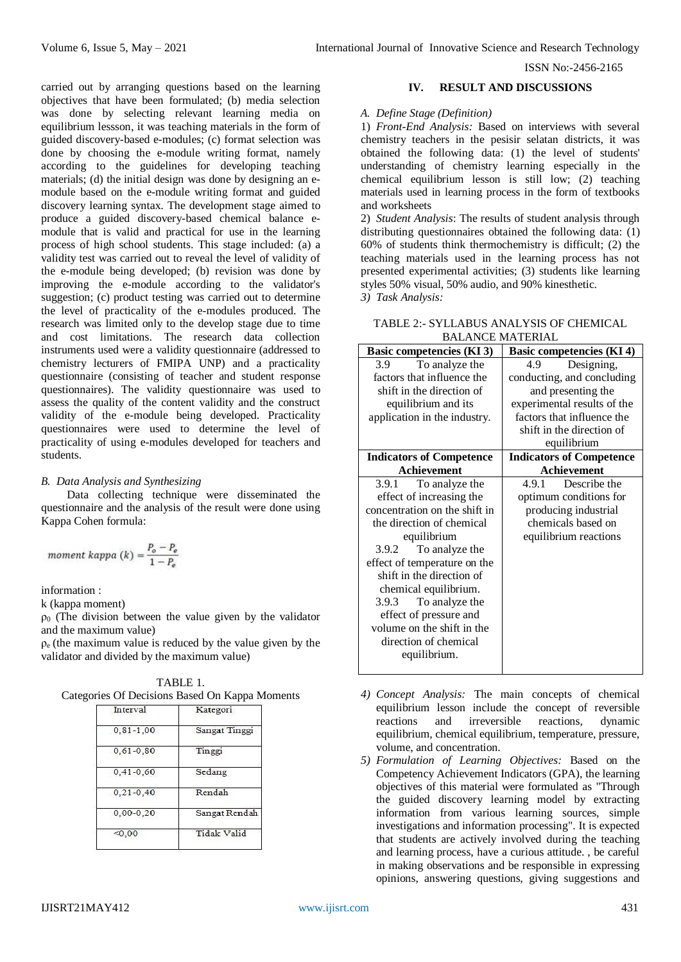carried out by arranging questions based on the learning objectives that have been formulated; (b) media selection was done by selecting relevant learning media on equilibrium lessson, it was teaching materials in the form of guided discovery-based e-modules; (c) format selection was done by choosing the e-module writing format, namely according to the guidelines for developing teaching materials; (d) the initial design was done by designing an emodule based on the e-module writing format and guided discovery learning syntax. The development stage aimed to produce a guided discovery-based chemical balance emodule that is valid and practical for use in the learning process of high school students. This stage included: (a) a validity test was carried out to reveal the level of validity of the e-module being developed; (b) revision was done by improving the e-module according to the validator's suggestion; (c) product testing was carried out to determine the level of practicality of the e-modules produced. The research was limited only to the develop stage due to time and cost limitations. The research data collection instruments used were a validity questionnaire (addressed to chemistry lecturers of FMIPA UNP) and a practicality questionnaire (consisting of teacher and student response questionnaires). The validity questionnaire was used to assess the quality of the content validity and the construct validity of the e-module being developed. Practicality questionnaires were used to determine the level of practicality of using e-modules developed for teachers and students.

## *B. Data Analysis and Synthesizing*

Data collecting technique were disseminated the questionnaire and the analysis of the result were done using Kappa Cohen formula:

moment kappa 
$$
(k) = \frac{P_o - P_e}{1 - P_e}
$$

information :

k (kappa moment)

 $\rho_0$  (The division between the value given by the validator and the maximum value)

 $\rho_e$  (the maximum value is reduced by the value given by the validator and divided by the maximum value)

TABLE 1. Categories Of Decisions Based On Kappa Moments

| . .                |
|--------------------|
| Kategori           |
| Sangat Tinggi      |
| Tinggi             |
| Sedang             |
| Rendah             |
| Sangat Rendah      |
| <b>Tidak Valid</b> |
|                    |

## **IV. RESULT AND DISCUSSIONS**

#### *A. Define Stage (Definition)*

1) *Front-End Analysis:* Based on interviews with several chemistry teachers in the pesisir selatan districts, it was obtained the following data: (1) the level of students' understanding of chemistry learning especially in the chemical equilibrium lesson is still low; (2) teaching materials used in learning process in the form of textbooks and worksheets

2) *Student Analysis*: The results of student analysis through distributing questionnaires obtained the following data: (1) 60% of students think thermochemistry is difficult; (2) the teaching materials used in the learning process has not presented experimental activities; (3) students like learning styles 50% visual, 50% audio, and 90% kinesthetic.

*3) Task Analysis:*

| TABLE 2:- SYLLABUS ANALYSIS OF CHEMICAL |
|-----------------------------------------|
| <b>BALANCE MATERIAL</b>                 |

| <b>Basic competencies (KI 3)</b> | <b>Basic competencies (KI 4)</b> |  |
|----------------------------------|----------------------------------|--|
| To analyze the<br>3.9            | Designing,<br>4.9                |  |
| factors that influence the       | conducting, and concluding       |  |
| shift in the direction of        | and presenting the               |  |
| equilibrium and its              | experimental results of the      |  |
| application in the industry.     | factors that influence the       |  |
|                                  | shift in the direction of        |  |
|                                  | equilibrium                      |  |
| <b>Indicators of Competence</b>  | <b>Indicators of Competence</b>  |  |
| <b>Achievement</b>               | <b>Achievement</b>               |  |
| 3.9.1 To analyze the             | 4.9.1 Describe the               |  |
| effect of increasing the         | optimum conditions for           |  |
| concentration on the shift in    | producing industrial             |  |
| the direction of chemical        | chemicals based on               |  |
| equilibrium                      | equilibrium reactions            |  |
| To analyze the<br>3.9.2          |                                  |  |
| effect of temperature on the     |                                  |  |
| shift in the direction of        |                                  |  |
| chemical equilibrium.            |                                  |  |
| 3.9.3 To analyze the             |                                  |  |
| effect of pressure and           |                                  |  |
| volume on the shift in the       |                                  |  |
| direction of chemical            |                                  |  |
| equilibrium.                     |                                  |  |
|                                  |                                  |  |

- *4) Concept Analysis:* The main concepts of chemical equilibrium lesson include the concept of reversible reactions and irreversible reactions, dynamic equilibrium, chemical equilibrium, temperature, pressure, volume, and concentration.
- *5) Formulation of Learning Objectives:* Based on the Competency Achievement Indicators (GPA), the learning objectives of this material were formulated as "Through the guided discovery learning model by extracting information from various learning sources, simple investigations and information processing". It is expected that students are actively involved during the teaching and learning process, have a curious attitude. , be careful in making observations and be responsible in expressing opinions, answering questions, giving suggestions and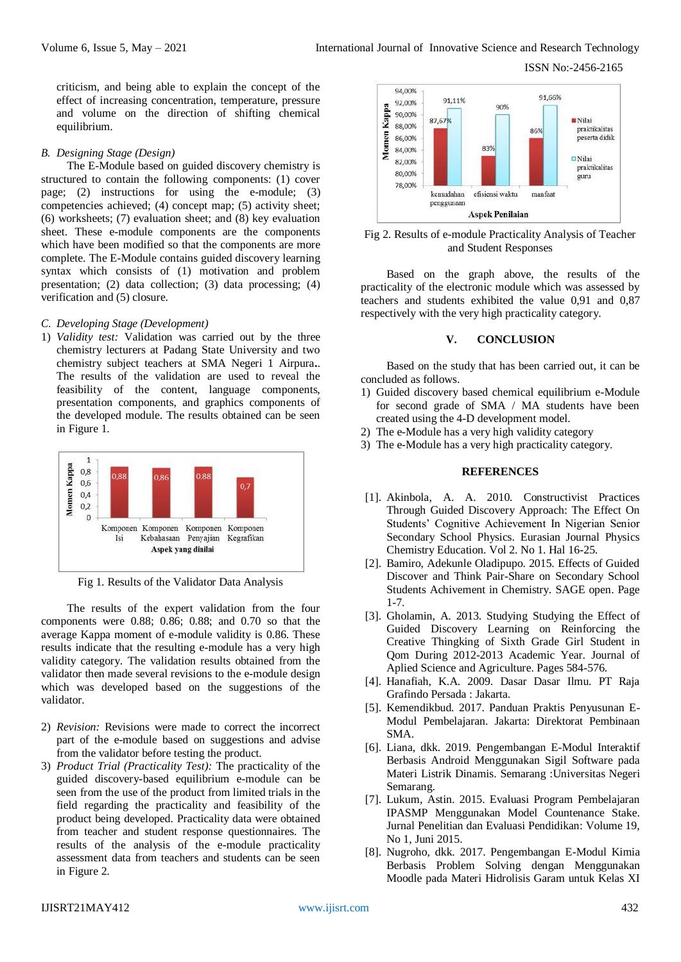criticism, and being able to explain the concept of the effect of increasing concentration, temperature, pressure and volume on the direction of shifting chemical equilibrium.

#### *B. Designing Stage (Design)*

The E-Module based on guided discovery chemistry is structured to contain the following components: (1) cover page; (2) instructions for using the e-module; (3) competencies achieved; (4) concept map; (5) activity sheet; (6) worksheets; (7) evaluation sheet; and (8) key evaluation sheet. These e-module components are the components which have been modified so that the components are more complete. The E-Module contains guided discovery learning syntax which consists of (1) motivation and problem presentation; (2) data collection; (3) data processing; (4) verification and (5) closure.

#### *C. Developing Stage (Development)*

1) *Validity test:* Validation was carried out by the three chemistry lecturers at Padang State University and two chemistry subject teachers at SMA Negeri 1 Airpura**.**. The results of the validation are used to reveal the feasibility of the content, language components, presentation components, and graphics components of the developed module. The results obtained can be seen in Figure 1.



Fig 1. Results of the Validator Data Analysis

The results of the expert validation from the four components were 0.88; 0.86; 0.88; and 0.70 so that the average Kappa moment of e-module validity is 0.86. These results indicate that the resulting e-module has a very high validity category. The validation results obtained from the validator then made several revisions to the e-module design which was developed based on the suggestions of the validator.

- 2) *Revision:* Revisions were made to correct the incorrect part of the e-module based on suggestions and advise from the validator before testing the product.
- 3) *Product Trial (Practicality Test):* The practicality of the guided discovery-based equilibrium e-module can be seen from the use of the product from limited trials in the field regarding the practicality and feasibility of the product being developed. Practicality data were obtained from teacher and student response questionnaires. The results of the analysis of the e-module practicality assessment data from teachers and students can be seen in Figure 2.



Fig 2. Results of e-module Practicality Analysis of Teacher and Student Responses

Based on the graph above, the results of the practicality of the electronic module which was assessed by teachers and students exhibited the value 0,91 and 0,87 respectively with the very high practicality category.

## **V. CONCLUSION**

Based on the study that has been carried out, it can be concluded as follows.

- 1) Guided discovery based chemical equilibrium e-Module for second grade of SMA / MA students have been created using the 4-D development model.
- 2) The e-Module has a very high validity category
- 3) The e-Module has a very high practicality category.

### **REFERENCES**

- [1]. Akinbola, A. A. 2010. Constructivist Practices Through Guided Discovery Approach: The Effect On Students' Cognitive Achievement In Nigerian Senior Secondary School Physics. Eurasian Journal Physics Chemistry Education. Vol 2. No 1. Hal 16-25.
- [2]. Bamiro, Adekunle Oladipupo. 2015. Effects of Guided Discover and Think Pair-Share on Secondary School Students Achivement in Chemistry. SAGE open. Page 1-7.
- [3]. Gholamin, A. 2013. Studying Studying the Effect of Guided Discovery Learning on Reinforcing the Creative Thingking of Sixth Grade Girl Student in Qom During 2012-2013 Academic Year. Journal of Aplied Science and Agriculture. Pages 584-576.
- [4]. Hanafiah, K.A. 2009. Dasar Dasar Ilmu. PT Raja Grafindo Persada : Jakarta.
- [5]. Kemendikbud. 2017. Panduan Praktis Penyusunan E-Modul Pembelajaran. Jakarta: Direktorat Pembinaan SMA.
- [6]. Liana, dkk. 2019. Pengembangan E-Modul Interaktif Berbasis Android Menggunakan Sigil Software pada Materi Listrik Dinamis. Semarang :Universitas Negeri Semarang.
- [7]. Lukum, Astin. 2015. Evaluasi Program Pembelajaran IPASMP Menggunakan Model Countenance Stake. Jurnal Penelitian dan Evaluasi Pendidikan: Volume 19, No 1, Juni 2015.
- [8]. Nugroho, dkk. 2017. Pengembangan E-Modul Kimia Berbasis Problem Solving dengan Menggunakan Moodle pada Materi Hidrolisis Garam untuk Kelas XI